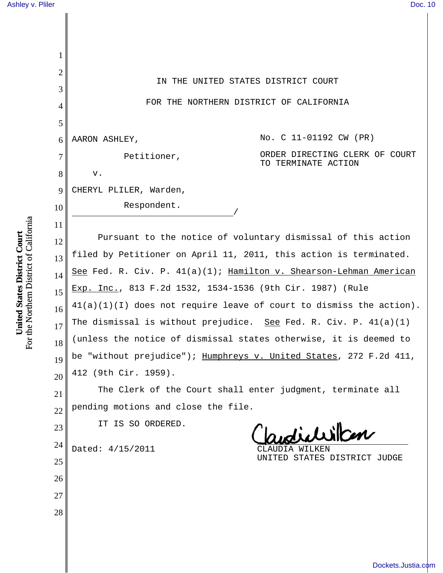| 1  |                                                                       |  |  |
|----|-----------------------------------------------------------------------|--|--|
| 2  | IN THE UNITED STATES DISTRICT COURT                                   |  |  |
| 3  |                                                                       |  |  |
| 4  | FOR THE NORTHERN DISTRICT OF CALIFORNIA                               |  |  |
| 5  |                                                                       |  |  |
| 6  | No. C 11-01192 CW (PR)<br>AARON ASHLEY,                               |  |  |
| 7  | ORDER DIRECTING CLERK OF COURT<br>Petitioner,<br>TO TERMINATE ACTION  |  |  |
| 8  | v.                                                                    |  |  |
| 9  | CHERYL PLILER, Warden,                                                |  |  |
| 10 | Respondent.                                                           |  |  |
| 11 |                                                                       |  |  |
| 12 | Pursuant to the notice of voluntary dismissal of this action          |  |  |
| 13 | filed by Petitioner on April 11, 2011, this action is terminated.     |  |  |
| 14 | See Fed. R. Civ. P. 41(a)(1); Hamilton v. Shearson-Lehman American    |  |  |
| 15 | Exp. Inc., 813 F.2d 1532, 1534-1536 (9th Cir. 1987) (Rule             |  |  |
| 16 | $41(a)(1)(I)$ does not require leave of court to dismiss the action). |  |  |
| 17 | The dismissal is without prejudice. See Fed. R. Civ. P. $41(a)(1)$    |  |  |
| 18 | (unless the notice of dismissal states otherwise, it is deemed to     |  |  |
| 19 | be "without prejudice"); Humphreys v. United States, 272 F.2d 411,    |  |  |
| 20 | 412 (9th Cir. 1959).                                                  |  |  |
| 21 | The Clerk of the Court shall enter judgment, terminate all            |  |  |
| 22 | pending motions and close the file.                                   |  |  |
| 23 | IT IS SO ORDERED.<br>sudichillen                                      |  |  |
| 24 | Dated: 4/15/2011<br>UDIA WILKEN                                       |  |  |
| 25 | UNITED STATES DISTRICT JUDGE                                          |  |  |
| 26 |                                                                       |  |  |
| 27 |                                                                       |  |  |
| 28 |                                                                       |  |  |
|    |                                                                       |  |  |
|    |                                                                       |  |  |

**United States District Court**<br>For the Northern District of California For the Northern District of California **United States District Court**